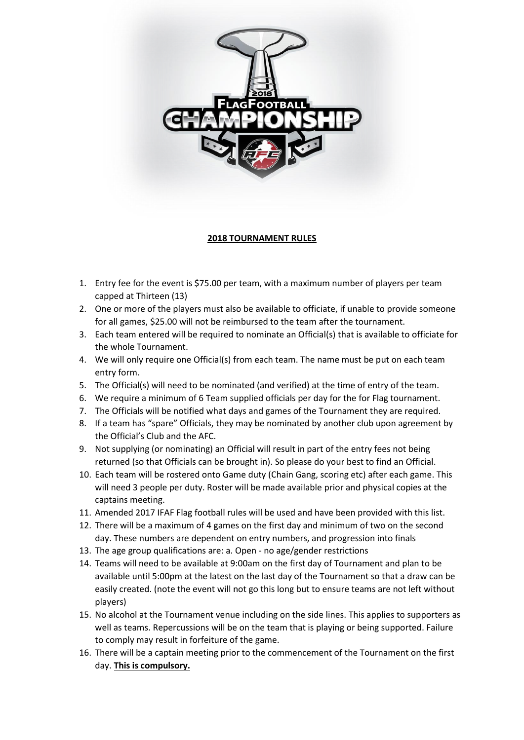

## **2018 TOURNAMENT RULES**

- 1. Entry fee for the event is \$75.00 per team, with a maximum number of players per team capped at Thirteen (13)
- 2. One or more of the players must also be available to officiate, if unable to provide someone for all games, \$25.00 will not be reimbursed to the team after the tournament.
- 3. Each team entered will be required to nominate an Official(s) that is available to officiate for the whole Tournament.
- 4. We will only require one Official(s) from each team. The name must be put on each team entry form.
- 5. The Official(s) will need to be nominated (and verified) at the time of entry of the team.
- 6. We require a minimum of 6 Team supplied officials per day for the for Flag tournament.
- 7. The Officials will be notified what days and games of the Tournament they are required.
- 8. If a team has "spare" Officials, they may be nominated by another club upon agreement by the Official's Club and the AFC.
- 9. Not supplying (or nominating) an Official will result in part of the entry fees not being returned (so that Officials can be brought in). So please do your best to find an Official.
- 10. Each team will be rostered onto Game duty (Chain Gang, scoring etc) after each game. This will need 3 people per duty. Roster will be made available prior and physical copies at the captains meeting.
- 11. Amended 2017 IFAF Flag football rules will be used and have been provided with this list.
- 12. There will be a maximum of 4 games on the first day and minimum of two on the second day. These numbers are dependent on entry numbers, and progression into finals
- 13. The age group qualifications are: a. Open no age/gender restrictions
- 14. Teams will need to be available at 9:00am on the first day of Tournament and plan to be available until 5:00pm at the latest on the last day of the Tournament so that a draw can be easily created. (note the event will not go this long but to ensure teams are not left without players)
- 15. No alcohol at the Tournament venue including on the side lines. This applies to supporters as well as teams. Repercussions will be on the team that is playing or being supported. Failure to comply may result in forfeiture of the game.
- 16. There will be a captain meeting prior to the commencement of the Tournament on the first day. **This is compulsory.**